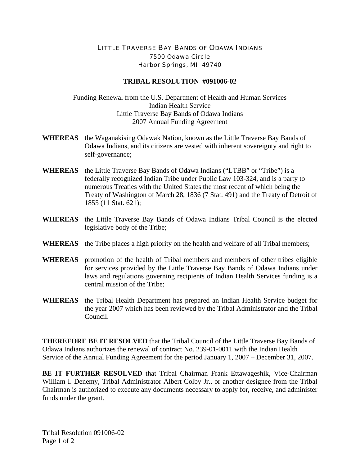## LITTLE TRAVERSE BAY BANDS OF ODAWA INDIANS 7500 Odawa Circle Harbor Springs, MI 49740

## **TRIBAL RESOLUTION #091006-02**

Funding Renewal from the U.S. Department of Health and Human Services Indian Health Service Little Traverse Bay Bands of Odawa Indians 2007 Annual Funding Agreement

- **WHEREAS** the Waganakising Odawak Nation, known as the Little Traverse Bay Bands of Odawa Indians, and its citizens are vested with inherent sovereignty and right to self-governance;
- **WHEREAS** the Little Traverse Bay Bands of Odawa Indians ("LTBB" or "Tribe") is a federally recognized Indian Tribe under Public Law 103-324, and is a party to numerous Treaties with the United States the most recent of which being the Treaty of Washington of March 28, 1836 (7 Stat. 491) and the Treaty of Detroit of 1855 (11 Stat. 621);
- **WHEREAS** the Little Traverse Bay Bands of Odawa Indians Tribal Council is the elected legislative body of the Tribe;
- **WHEREAS** the Tribe places a high priority on the health and welfare of all Tribal members;
- **WHEREAS** promotion of the health of Tribal members and members of other tribes eligible for services provided by the Little Traverse Bay Bands of Odawa Indians under laws and regulations governing recipients of Indian Health Services funding is a central mission of the Tribe;
- **WHEREAS** the Tribal Health Department has prepared an Indian Health Service budget for the year 2007 which has been reviewed by the Tribal Administrator and the Tribal Council.

**THEREFORE BE IT RESOLVED** that the Tribal Council of the Little Traverse Bay Bands of Odawa Indians authorizes the renewal of contract No. 239-01-0011 with the Indian Health Service of the Annual Funding Agreement for the period January 1, 2007 – December 31, 2007.

**BE IT FURTHER RESOLVED** that Tribal Chairman Frank Ettawageshik, Vice-Chairman William I. Denemy, Tribal Administrator Albert Colby Jr., or another designee from the Tribal Chairman is authorized to execute any documents necessary to apply for, receive, and administer funds under the grant.